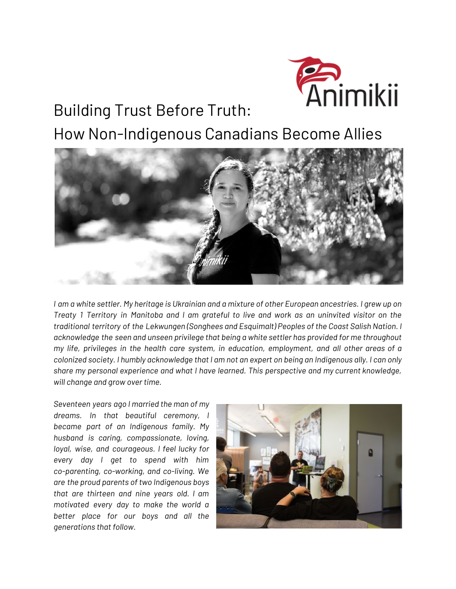

# Building Trust Before Truth:

How Non-Indigenous Canadians Become Allies



I am a white settler. My heritage is Ukrainian and a mixture of other European ancestries. I grew up on Treaty 1 Territory in Manitoba and I am grateful to live and work as an uninvited visitor on the *traditional territory of the Lekwungen (Songhees and Esquimalt) Peoples of the Coast Salish Nation. I acknowledge the seen and unseen privilege that being a white settler has provided for me throughout my life, privileges in the health care system, in education, employment, and all other areas of a* colonized society. I humbly acknowledge that I am not an expert on being an Indigenous ally. I can only *share my personal experience and what I have learned. This perspective and my current knowledge, will change and grow over time.*

*Seventeen years ago I married the man of my dreams. In that beautiful ceremony, I became part of an Indigenous family. My husband is caring, compassionate, loving, loyal, wise, and courageous. I feel lucky for every day I get to spend with him co-parenting, co-working, and co-living. We are the proud parents of two Indigenous boys that are thirteen and nine years old. I am motivated every day to make the world a better place for our boys and all the generations that follow.*

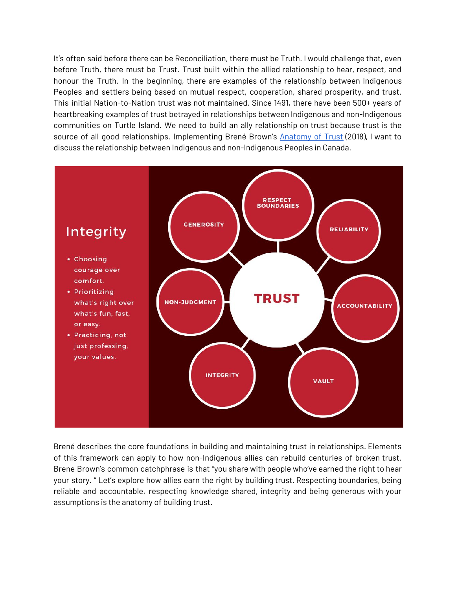It's often said before there can be Reconciliation, there must be Truth. I would challenge that, even before Truth, there must be Trust. Trust built within the allied relationship to hear, respect, and honour the Truth. In the beginning, there are examples of the relationship between Indigenous Peoples and settlers being based on mutual respect, cooperation, shared prosperity, and trust. This initial Nation-to-Nation trust was not maintained. Since 1491, there have been 500+ years of heartbreaking examples of trust betrayed in relationships between Indigenous and non-Indigenous communities on Turtle Island. We need to build an ally relationship on trust because trust is the source of all good relationships. Implementing Brené Brown's [Anatomy](http://www.oprah.com/own-supersoulsessions/Brene-Brown-The-Anatomy-of-Trust-Video) of Trust (2018), I want to discuss the relationship between Indigenous and non-Indigenous Peoples in Canada.



Brené describes the core foundations in building and maintaining trust in relationships. Elements of this framework can apply to how non-Indigenous allies can rebuild centuries of broken trust. Brene Brown's common catchphrase is that "you share with people who've earned the right to hear your story. " Let's explore how allies earn the right by building trust. Respecting boundaries, being reliable and accountable, respecting knowledge shared, integrity and being generous with your assumptions is the anatomy of building trust.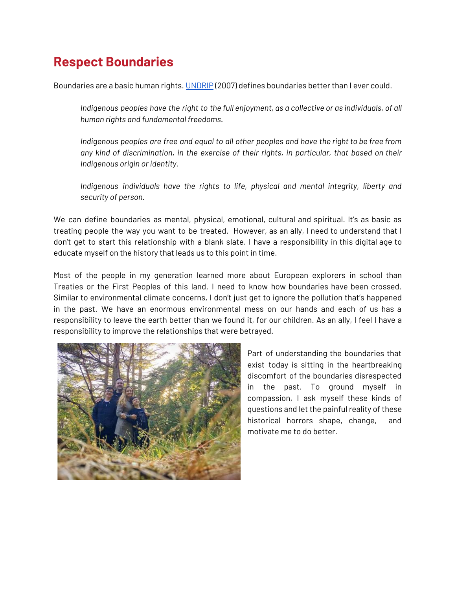#### **Respect Boundaries**

Boundaries are a basic human rights. [UNDRIP](https://www.un.org/esa/socdev/unpfii/documents/DRIPS_en.pdf) (2007) defines boundaries better than I ever could.

*Indigenous peoples have the right to the full enjoyment, as a collective or as individuals, of all human rights and fundamental freedoms.*

*Indigenous peoples are free and equal to all other peoples and have the right to be free from any kind of discrimination, in the exercise of their rights, in particular, that based on their Indigenous origin or identity.*

*Indigenous individuals have the rights to life, physical and mental integrity, liberty and security of person.*

We can define boundaries as mental, physical, emotional, cultural and spiritual. It's as basic as treating people the way you want to be treated. However, as an ally, I need to understand that I don't get to start this relationship with a blank slate. I have a responsibility in this digital age to educate myself on the history that leads us to this point in time.

Most of the people in my generation learned more about European explorers in school than Treaties or the First Peoples of this land. I need to know how boundaries have been crossed. Similar to environmental climate concerns, I don't just get to ignore the pollution that's happened in the past. We have an enormous environmental mess on our hands and each of us has a responsibility to leave the earth better than we found it, for our children. As an ally, I feel I have a responsibility to improve the relationships that were betrayed.



Part of understanding the boundaries that exist today is sitting in the heartbreaking discomfort of the boundaries disrespected in the past. To ground myself in compassion, I ask myself these kinds of questions and let the painful reality of these historical horrors shape, change, and motivate me to do better.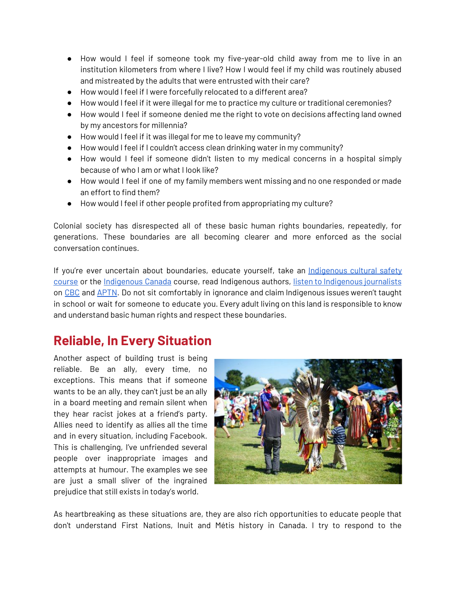- How would I feel if someone took my five-year-old child away from me to live in an institution kilometers from where I live? How I would feel if my child was routinely abused and mistreated by the adults that were entrusted with their care?
- How would I feel if I were forcefully relocated to a different area?
- How would I feel if it were illegal for me to practice my culture or traditional ceremonies?
- How would I feel if someone denied me the right to vote on decisions affecting land owned by my ancestors for millennia?
- How would I feel if it was illegal for me to leave my community?
- How would I feel if I couldn't access clean drinking water in my community?
- How would I feel if someone didn't listen to my medical concerns in a hospital simply because of who I am or what I look like?
- How would I feel if one of my family members went missing and no one responded or made an effort to find them?
- How would I feel if other people profited from appropriating my culture?

Colonial society has disrespected all of these basic human rights boundaries, repeatedly, for generations. These boundaries are all becoming clearer and more enforced as the social conversation continues.

If you're ever uncertain about boundaries, educate yourself, take an [Indigenous](http://www.sanyas.ca/) cultural safety [course](http://www.sanyas.ca/) or the [Indigenous](https://next150.indianhorse.ca/challenges/diversify-your-news) Canada course, read Indigenous authors, listen to Indigenous journalists on [CBC](https://www.cbc.ca/mediacentre/program/cross-country-checkup) and [APTN.](http://aptnnews.ca/) Do not sit comfortably in ignorance and claim Indigenous issues weren't taught in school or wait for someone to educate you. Every adult living on this land is responsible to know and understand basic human rights and respect these boundaries.

### **Reliable, In Every Situation**

Another aspect of building trust is being reliable. Be an ally, every time, no exceptions. This means that if someone wants to be an ally, they can't just be an ally in a board meeting and remain silent when they hear racist jokes at a friend's party. Allies need to identify as allies all the time and in every situation, including Facebook. This is challenging, I've unfriended several people over inappropriate images and attempts at humour. The examples we see are just a small sliver of the ingrained prejudice that still exists in today's world.



As heartbreaking as these situations are, they are also rich opportunities to educate people that don't understand First Nations, Inuit and Métis history in Canada. I try to respond to the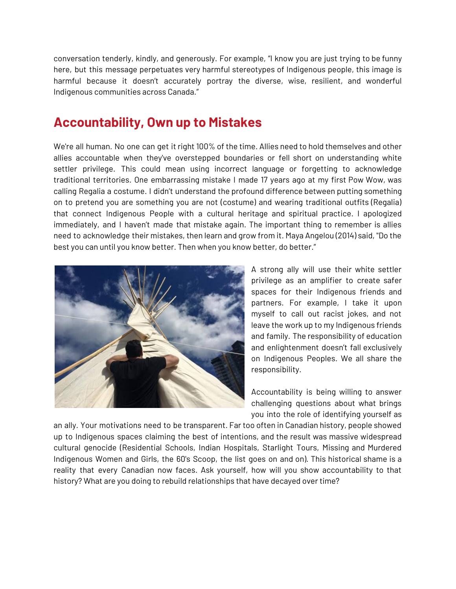conversation tenderly, kindly, and generously. For example, "I know you are just trying to be funny here, but this message perpetuates very harmful stereotypes of Indigenous people, this image is harmful because it doesn't accurately portray the diverse, wise, resilient, and wonderful Indigenous communities across Canada."

#### **Accountability, Own up to Mistakes**

We're all human. No one can get it right 100% of the time. Allies need to hold themselves and other allies accountable when they've overstepped boundaries or fell short on understanding white settler privilege. This could mean using incorrect language or forgetting to acknowledge traditional territories. One embarrassing mistake I made 17 years ago at my first Pow Wow, was calling Regalia a costume. I didn't understand the profound difference between putting something on to pretend you are something you are not (costume) and wearing traditional outfits (Regalia) that connect Indigenous People with a cultural heritage and spiritual practice. I apologized immediately, and I haven't made that mistake again. The important thing to remember is allies need to acknowledge their mistakes, then learn and grow from it. Maya Angelou (2014) said, "Do the best you can until you know better. Then when you know better, do better."



A strong ally will use their white settler privilege as an amplifier to create safer spaces for their Indigenous friends and partners. For example, I take it upon myself to call out racist jokes, and not leave the work up to my Indigenous friends and family. The responsibility of education and enlightenment doesn't fall exclusively on Indigenous Peoples. We all share the responsibility.

Accountability is being willing to answer challenging questions about what brings you into the role of identifying yourself as

an ally. Your motivations need to be transparent. Far too often in Canadian history, people showed up to Indigenous spaces claiming the best of intentions, and the result was massive widespread cultural genocide (Residential Schools, Indian Hospitals, Starlight Tours, Missing and Murdered Indigenous Women and Girls, the 60's Scoop, the list goes on and on). This historical shame is a reality that every Canadian now faces. Ask yourself, how will you show accountability to that history? What are you doing to rebuild relationships that have decayed over time?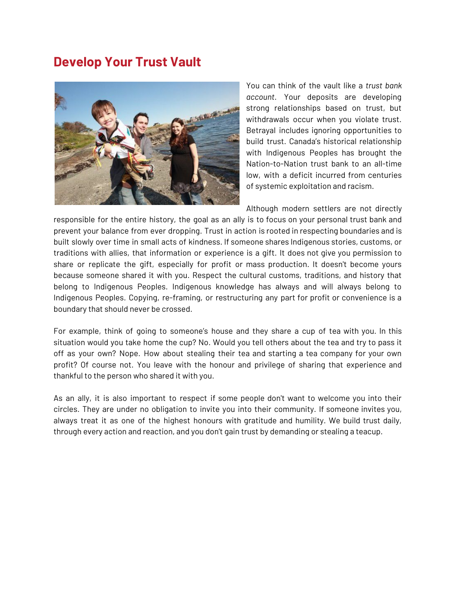#### **Develop Your Trust Vault**



You can think of the vault like a *trust bank account*. Your deposits are developing strong relationships based on trust, but withdrawals occur when you violate trust. Betrayal includes ignoring opportunities to build trust. Canada's historical relationship with Indigenous Peoples has brought the Nation-to-Nation trust bank to an all-time low, with a deficit incurred from centuries of systemic exploitation and racism.

Although modern settlers are not directly

responsible for the entire history, the goal as an ally is to focus on your personal trust bank and prevent your balance from ever dropping. Trust in action is rooted in respecting boundaries and is built slowly over time in small acts of kindness. If someone shares Indigenous stories, customs, or traditions with allies, that information or experience is a gift. It does not give you permission to share or replicate the gift, especially for profit or mass production. It doesn't become yours because someone shared it with you. Respect the cultural customs, traditions, and history that belong to Indigenous Peoples. Indigenous knowledge has always and will always belong to Indigenous Peoples. Copying, re-framing, or restructuring any part for profit or convenience is a boundary that should never be crossed.

For example, think of going to someone's house and they share a cup of tea with you. In this situation would you take home the cup? No. Would you tell others about the tea and try to pass it off as your own? Nope. How about stealing their tea and starting a tea company for your own profit? Of course not. You leave with the honour and privilege of sharing that experience and thankful to the person who shared it with you.

As an ally, it is also important to respect if some people don't want to welcome you into their circles. They are under no obligation to invite you into their community. If someone invites you, always treat it as one of the highest honours with gratitude and humility. We build trust daily, through every action and reaction, and you don't gain trust by demanding or stealing a teacup.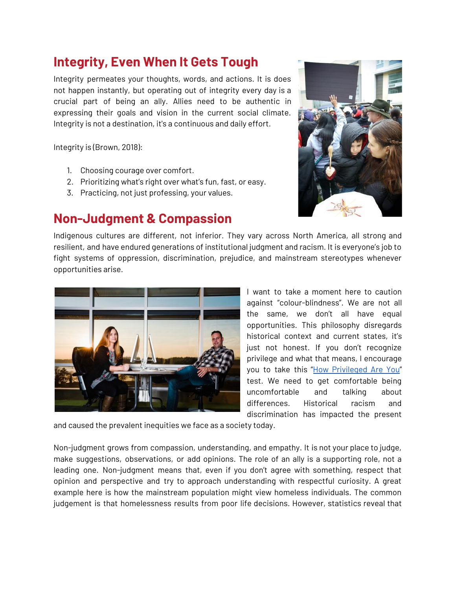#### **Integrity, Even When It Gets Tough**

Integrity permeates your thoughts, words, and actions. It is does not happen instantly, but operating out of integrity every day is a crucial part of being an ally. Allies need to be authentic in expressing their goals and vision in the current social climate. Integrity is not a destination, it's a continuous and daily effort.

Integrity is (Brown, 2018):

- 1. Choosing courage over comfort.
- 2. Prioritizing what's right over what's fun, fast, or easy.
- 3. Practicing, not just professing, your values.

#### **Non-Judgment & Compassion**



Indigenous cultures are different, not inferior. They vary across North America, all strong and resilient, and have endured generations of institutional judgment and racism. It is everyone's job to fight systems of oppression, discrimination, prejudice, and mainstream stereotypes whenever opportunities arise.



I want to take a moment here to caution against "colour-blindness". We are not all the same, we don't all have equal opportunities. This philosophy disregards historical context and current states, it's just not honest. If you don't recognize privilege and what that means, I encourage you to take this "How [Privileged](https://www.buzzfeed.com/regajha/how-privileged-are-you?) Are You" test. We need to get comfortable being uncomfortable and talking about differences. Historical racism and discrimination has impacted the present

and caused the prevalent inequities we face as a society today.

Non-judgment grows from compassion, understanding, and empathy. It is not your place to judge, make suggestions, observations, or add opinions. The role of an ally is a supporting role, not a leading one. Non-judgment means that, even if you don't agree with something, respect that opinion and perspective and try to approach understanding with respectful curiosity. A great example here is how the mainstream population might view homeless individuals. The common judgement is that homelessness results from poor life decisions. However, statistics reveal that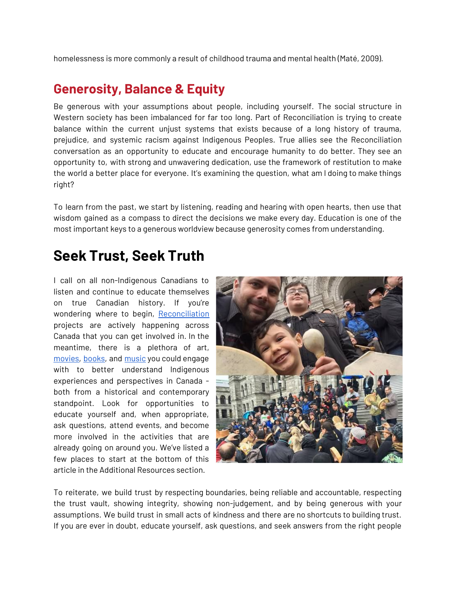homelessness is more commonly a result of childhood trauma and mental health (Maté, 2009).

#### **Generosity, Balance & Equity**

Be generous with your assumptions about people, including yourself. The social structure in Western society has been imbalanced for far too long. Part of Reconciliation is trying to create balance within the current unjust systems that exists because of a long history of trauma, prejudice, and systemic racism against Indigenous Peoples. True allies see the Reconciliation conversation as an opportunity to educate and encourage humanity to do better. They see an opportunity to, with strong and unwavering dedication, use the framework of restitution to make the world a better place for everyone. It's examining the question, what am I doing to make things right?

To learn from the past, we start by listening, reading and hearing with open hearts, then use that wisdom gained as a compass to direct the decisions we make every day. Education is one of the most important keys to a generous worldview because generosity comes from understanding.

## **Seek Trust, Seek Truth**

I call on all non-Indigenous Canadians to listen and continue to educate themselves on true Canadian history. If you're wondering where to begin, [Reconciliation](https://next150.indianhorse.ca/) projects are actively happening across Canada that you can get involved in. In the meantime, there is a plethora of art, [movies](https://next150.indianhorse.ca/challenges/indigenous-film), [books,](https://next150.indianhorse.ca/challenges/indigenous-reads) and [music](https://next150.indianhorse.ca/challenges/indigenous-mixtape) you could engage with to better understand Indigenous experiences and perspectives in Canada both from a historical and contemporary standpoint. Look for opportunities to educate yourself and, when appropriate, ask questions, attend events, and become more involved in the activities that are already going on around you. We've listed a few places to start at the bottom of this article in the Additional Resources section.



To reiterate, we build trust by respecting boundaries, being reliable and accountable, respecting the trust vault, showing integrity, showing non-judgement, and by being generous with your assumptions. We build trust in small acts of kindness and there are no shortcuts to building trust. If you are ever in doubt, educate yourself, ask questions, and seek answers from the right people